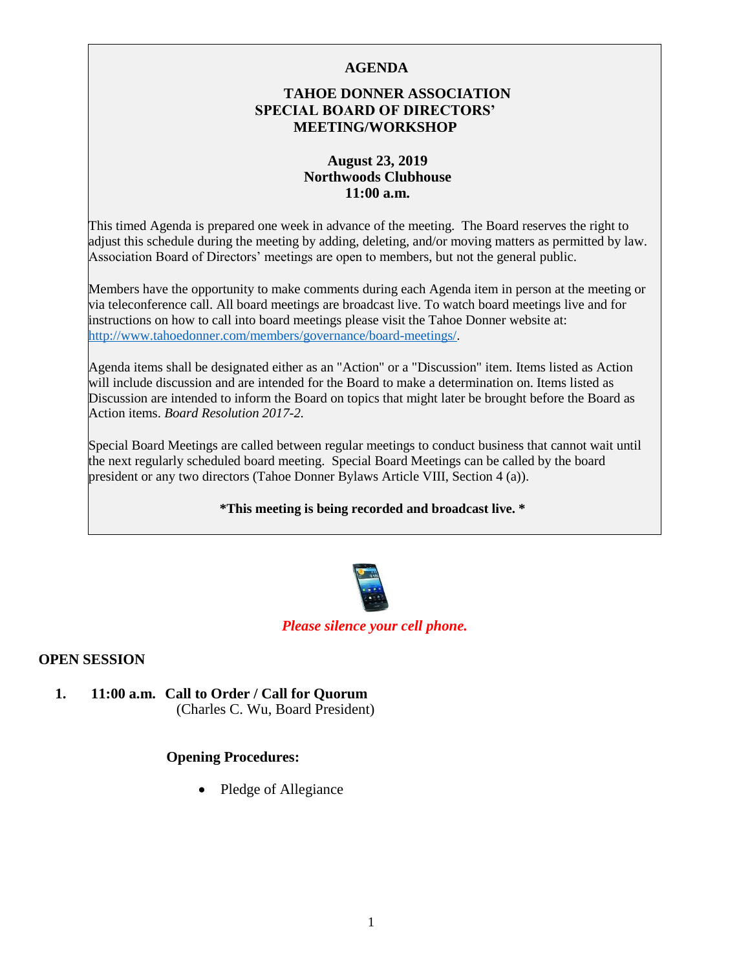### **AGENDA**

### **TAHOE DONNER ASSOCIATION SPECIAL BOARD OF DIRECTORS' MEETING/WORKSHOP**

### **August 23, 2019 Northwoods Clubhouse 11:00 a.m.**

This timed Agenda is prepared one week in advance of the meeting. The Board reserves the right to adjust this schedule during the meeting by adding, deleting, and/or moving matters as permitted by law. Association Board of Directors' meetings are open to members, but not the general public.

Members have the opportunity to make comments during each Agenda item in person at the meeting or via teleconference call. All board meetings are broadcast live. To watch board meetings live and for instructions on how to call into board meetings please visit the Tahoe Donner website at: [http://www.tahoedonner.com/members/governance/board-meetings/.](http://www.tahoedonner.com/members/governance/board-meetings/) 

Agenda items shall be designated either as an "Action" or a "Discussion" item. Items listed as Action will include discussion and are intended for the Board to make a determination on. Items listed as Discussion are intended to inform the Board on topics that might later be brought before the Board as Action items. *Board Resolution 2017-2.* 

Special Board Meetings are called between regular meetings to conduct business that cannot wait until the next regularly scheduled board meeting. Special Board Meetings can be called by the board president or any two directors (Tahoe Donner Bylaws Article VIII, Section 4 (a)).

#### **\*This meeting is being recorded and broadcast live. \***



#### *Please silence your cell phone.*

#### **OPEN SESSION**

**1. 11:00 a.m. Call to Order / Call for Quorum** (Charles C. Wu, Board President)

#### **Opening Procedures:**

• Pledge of Allegiance